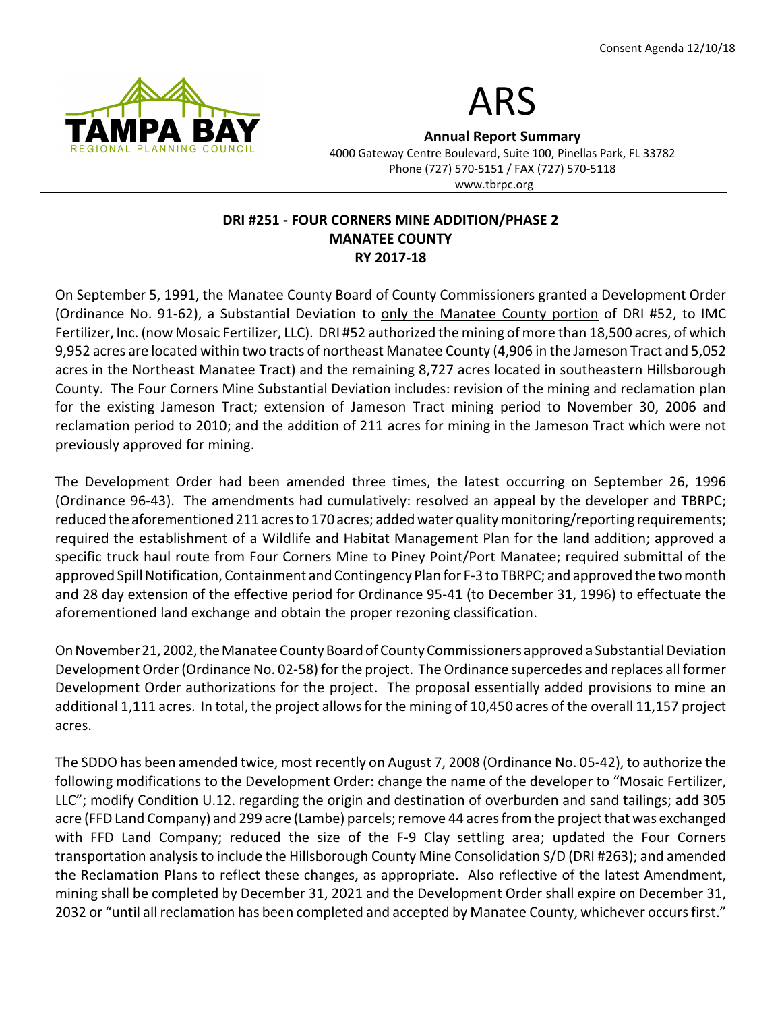



Annual Report Summary

4000 Gateway Centre Boulevard, Suite 100, Pinellas Park, FL 33782 Phone (727) 570-5151 / FAX (727) 570-5118 www.tbrpc.org

## DRI #251 - FOUR CORNERS MINE ADDITION/PHASE 2 MANATEE COUNTY RY 2017-18

On September 5, 1991, the Manatee County Board of County Commissioners granted a Development Order (Ordinance No. 91-62), a Substantial Deviation to only the Manatee County portion of DRI #52, to IMC Fertilizer, Inc. (now Mosaic Fertilizer, LLC). DRI #52 authorized the mining of more than 18,500 acres, of which 9,952 acres are located within two tracts of northeast Manatee County (4,906 in the Jameson Tract and 5,052 acres in the Northeast Manatee Tract) and the remaining 8,727 acres located in southeastern Hillsborough County. The Four Corners Mine Substantial Deviation includes: revision of the mining and reclamation plan for the existing Jameson Tract; extension of Jameson Tract mining period to November 30, 2006 and reclamation period to 2010; and the addition of 211 acres for mining in the Jameson Tract which were not previously approved for mining.

The Development Order had been amended three times, the latest occurring on September 26, 1996 (Ordinance 96-43). The amendments had cumulatively: resolved an appeal by the developer and TBRPC; reduced the aforementioned 211 acres to 170 acres; added water quality monitoring/reporting requirements; required the establishment of a Wildlife and Habitat Management Plan for the land addition; approved a specific truck haul route from Four Corners Mine to Piney Point/Port Manatee; required submittal of the approved Spill Notification, Containment and Contingency Plan for F-3 to TBRPC; and approved the two month and 28 day extension of the effective period for Ordinance 95-41 (to December 31, 1996) to effectuate the aforementioned land exchange and obtain the proper rezoning classification.

On November 21, 2002, the Manatee County Board of County Commissioners approved a Substantial Deviation Development Order (Ordinance No. 02-58) for the project. The Ordinance supercedes and replaces all former Development Order authorizations for the project. The proposal essentially added provisions to mine an additional 1,111 acres. In total, the project allows for the mining of 10,450 acres of the overall 11,157 project acres.

The SDDO has been amended twice, most recently on August 7, 2008 (Ordinance No. 05-42), to authorize the following modifications to the Development Order: change the name of the developer to "Mosaic Fertilizer, LLC"; modify Condition U.12. regarding the origin and destination of overburden and sand tailings; add 305 acre (FFD Land Company) and 299 acre (Lambe) parcels; remove 44 acres from the project that was exchanged with FFD Land Company; reduced the size of the F-9 Clay settling area; updated the Four Corners transportation analysis to include the Hillsborough County Mine Consolidation S/D (DRI #263); and amended the Reclamation Plans to reflect these changes, as appropriate. Also reflective of the latest Amendment, mining shall be completed by December 31, 2021 and the Development Order shall expire on December 31, 2032 or "until all reclamation has been completed and accepted by Manatee County, whichever occurs first."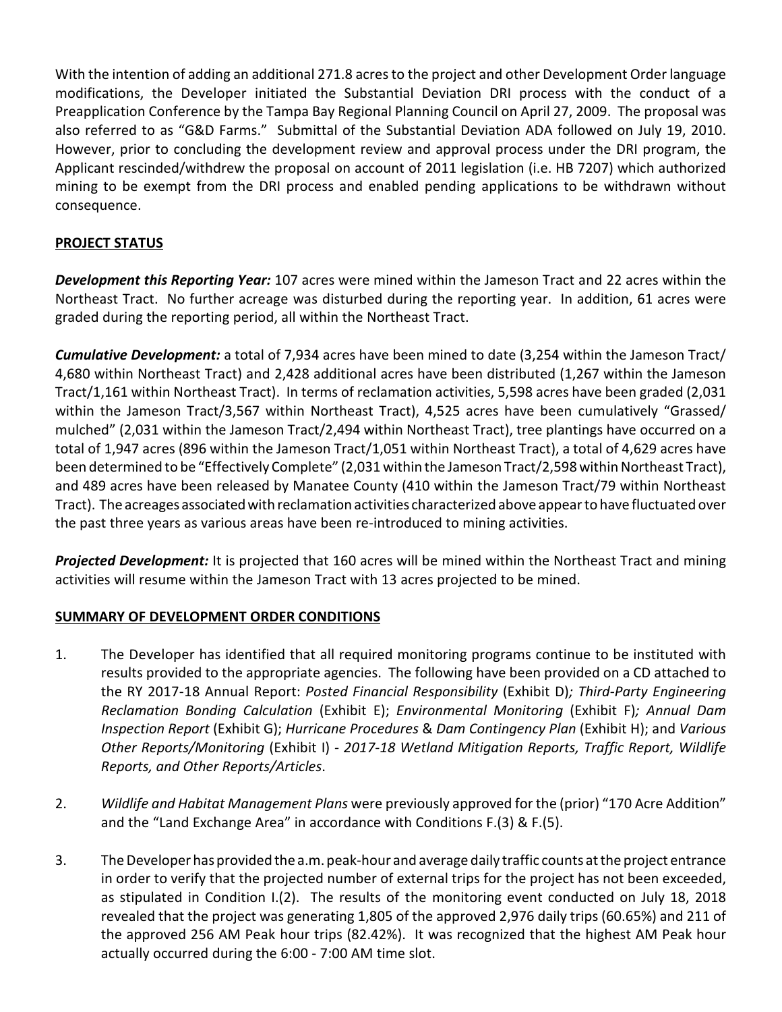With the intention of adding an additional 271.8 acres to the project and other Development Order language modifications, the Developer initiated the Substantial Deviation DRI process with the conduct of a Preapplication Conference by the Tampa Bay Regional Planning Council on April 27, 2009. The proposal was also referred to as "G&D Farms." Submittal of the Substantial Deviation ADA followed on July 19, 2010. However, prior to concluding the development review and approval process under the DRI program, the Applicant rescinded/withdrew the proposal on account of 2011 legislation (i.e. HB 7207) which authorized mining to be exempt from the DRI process and enabled pending applications to be withdrawn without consequence.

# PROJECT STATUS

Development this Reporting Year: 107 acres were mined within the Jameson Tract and 22 acres within the Northeast Tract. No further acreage was disturbed during the reporting year. In addition, 61 acres were graded during the reporting period, all within the Northeast Tract.

**Cumulative Development:** a total of 7,934 acres have been mined to date (3,254 within the Jameson Tract/ 4,680 within Northeast Tract) and 2,428 additional acres have been distributed (1,267 within the Jameson Tract/1,161 within Northeast Tract). In terms of reclamation activities, 5,598 acres have been graded (2,031 within the Jameson Tract/3,567 within Northeast Tract), 4,525 acres have been cumulatively "Grassed/ mulched" (2,031 within the Jameson Tract/2,494 within Northeast Tract), tree plantings have occurred on a total of 1,947 acres (896 within the Jameson Tract/1,051 within Northeast Tract), a total of 4,629 acres have been determined to be "Effectively Complete" (2,031 within the Jameson Tract/2,598 within Northeast Tract), and 489 acres have been released by Manatee County (410 within the Jameson Tract/79 within Northeast Tract). The acreages associated with reclamation activities characterized above appear to have fluctuated over the past three years as various areas have been re-introduced to mining activities.

**Projected Development:** It is projected that 160 acres will be mined within the Northeast Tract and mining activities will resume within the Jameson Tract with 13 acres projected to be mined.

## SUMMARY OF DEVELOPMENT ORDER CONDITIONS

- 1. The Developer has identified that all required monitoring programs continue to be instituted with results provided to the appropriate agencies. The following have been provided on a CD attached to the RY 2017-18 Annual Report: Posted Financial Responsibility (Exhibit D); Third-Party Engineering Reclamation Bonding Calculation (Exhibit E); Environmental Monitoring (Exhibit F); Annual Dam Inspection Report (Exhibit G); Hurricane Procedures & Dam Contingency Plan (Exhibit H); and Various Other Reports/Monitoring (Exhibit I) - 2017-18 Wetland Mitigation Reports, Traffic Report, Wildlife Reports, and Other Reports/Articles.
- 2. Wildlife and Habitat Management Plans were previously approved for the (prior) "170 Acre Addition" and the "Land Exchange Area" in accordance with Conditions F.(3) & F.(5).
- 3. The Developer has provided the a.m. peak-hour and average daily traffic counts at the project entrance in order to verify that the projected number of external trips for the project has not been exceeded, as stipulated in Condition I.(2). The results of the monitoring event conducted on July 18, 2018 revealed that the project was generating 1,805 of the approved 2,976 daily trips (60.65%) and 211 of the approved 256 AM Peak hour trips (82.42%). It was recognized that the highest AM Peak hour actually occurred during the 6:00 - 7:00 AM time slot.